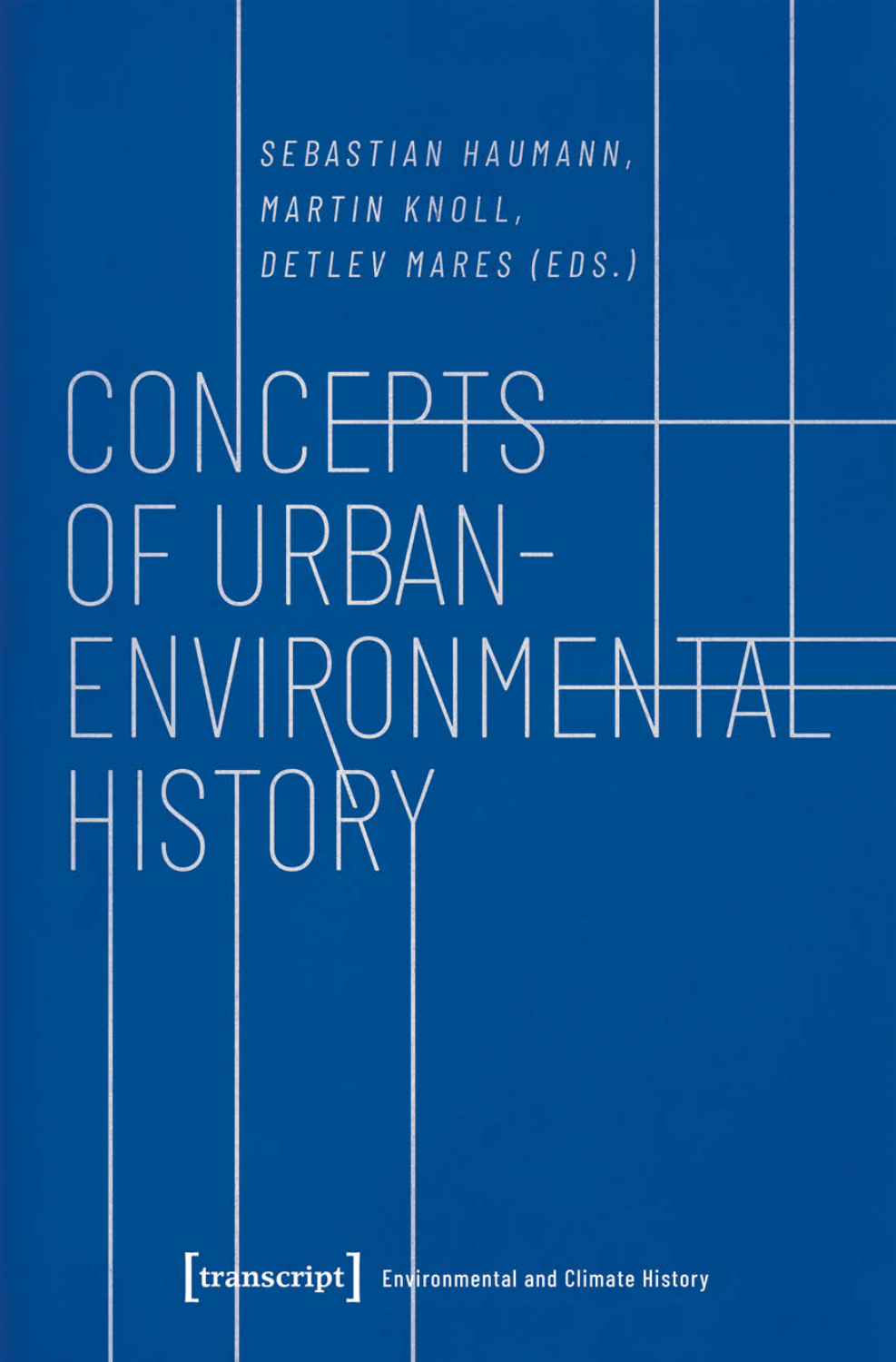SEBASTIAN HAUMANN, MARTIN KNOLL, DETLEV MARES (EDS.)

# CONCEPTS OF URBAN-ENVIRONMENTA HISTORY

**Example 2 Environmental and Climate History**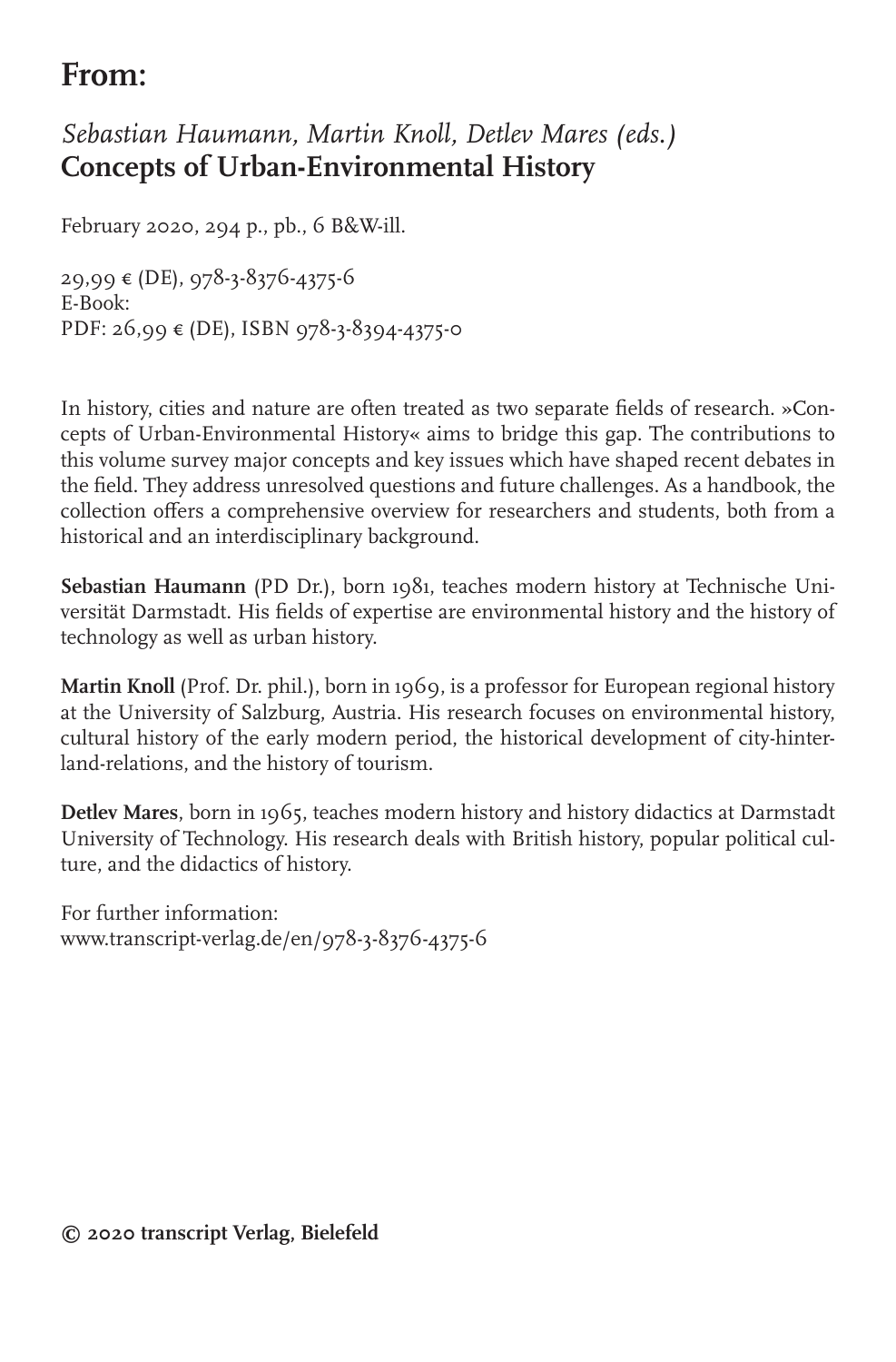## **From:**

## *Sebastian Haumann, Martin Knoll, Detlev Mares (eds.)* **Concepts of Urban-Environmental History**

February 2020, 294 p., pb., 6 B&W-ill.

29,99 € (DE), 978-3-8376-4375-6 E-Book: PDF: 26,99 € (DE), ISBN 978-3-8394-4375-0

In history, cities and nature are often treated as two separate fields of research. »Concepts of Urban-Environmental History« aims to bridge this gap. The contributions to this volume survey major concepts and key issues which have shaped recent debates in the field. They address unresolved questions and future challenges. As a handbook, the collection offers a comprehensive overview for researchers and students, both from a historical and an interdisciplinary background.

**Sebastian Haumann** (PD Dr.), born 1981, teaches modern history at Technische Universität Darmstadt. His fields of expertise are environmental history and the history of technology as well as urban history.

**Martin Knoll** (Prof. Dr. phil.), born in 1969, is a professor for European regional history at the University of Salzburg, Austria. His research focuses on environmental history, cultural history of the early modern period, the historical development of city-hinterland-relations, and the history of tourism.

**Detlev Mares**, born in 1965, teaches modern history and history didactics at Darmstadt University of Technology. His research deals with British history, popular political culture, and the didactics of history.

For further information: www.transcript-verlag.de/en/978-3-8376-4375-6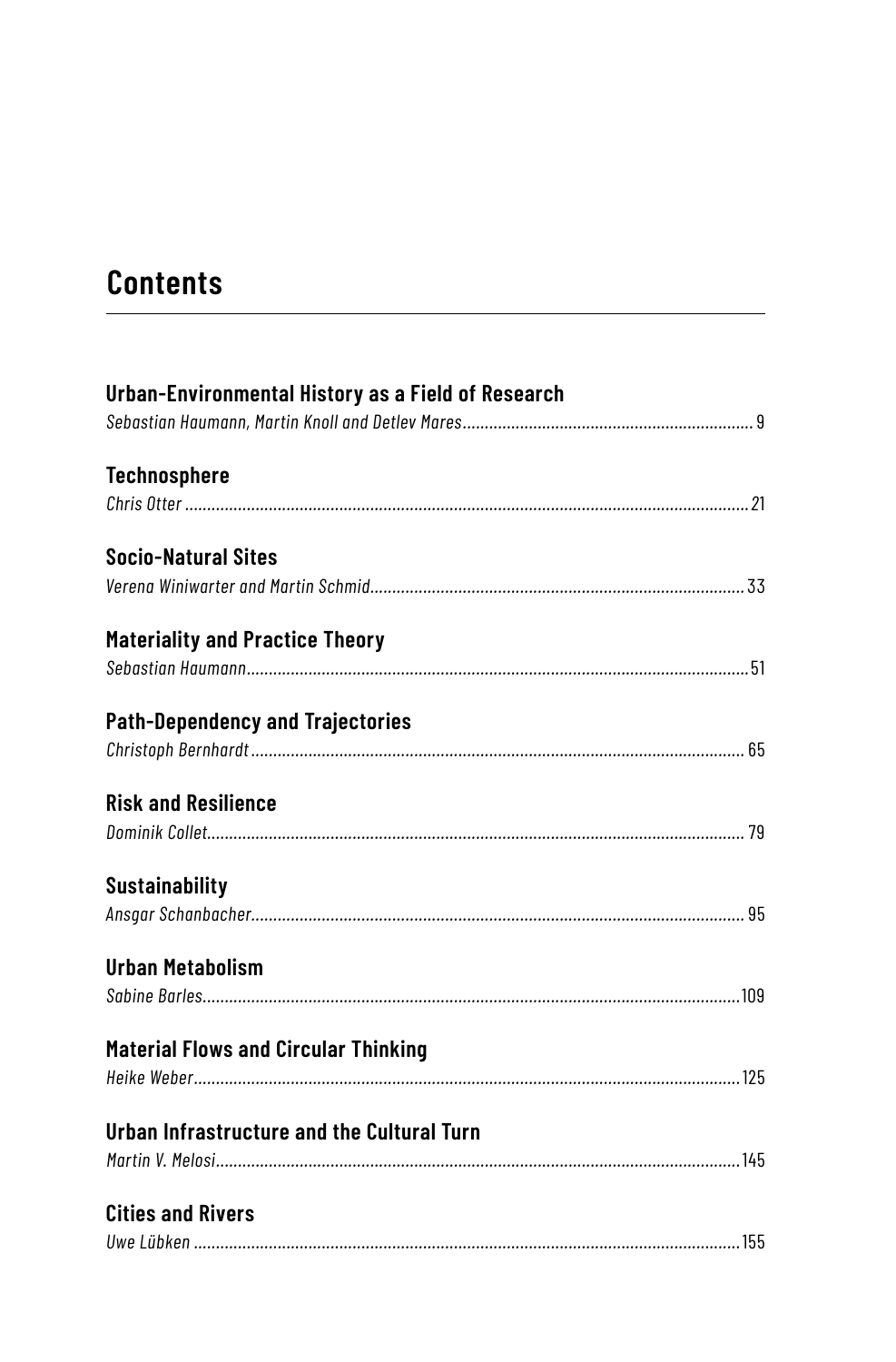# **Contents**

| Urban-Environmental History as a Field of Research |  |
|----------------------------------------------------|--|
| <b>Technosphere</b>                                |  |
|                                                    |  |
| <b>Socio-Natural Sites</b>                         |  |
|                                                    |  |
| <b>Materiality and Practice Theory</b>             |  |
|                                                    |  |
| <b>Path-Dependency and Trajectories</b>            |  |
|                                                    |  |
| <b>Risk and Resilience</b>                         |  |
|                                                    |  |
| <b>Sustainability</b>                              |  |
|                                                    |  |
| <b>Urban Metabolism</b>                            |  |
|                                                    |  |
| <b>Material Flows and Circular Thinking</b>        |  |
|                                                    |  |
| Urban Infrastructure and the Cultural Turn         |  |
|                                                    |  |
| <b>Cities and Rivers</b>                           |  |
|                                                    |  |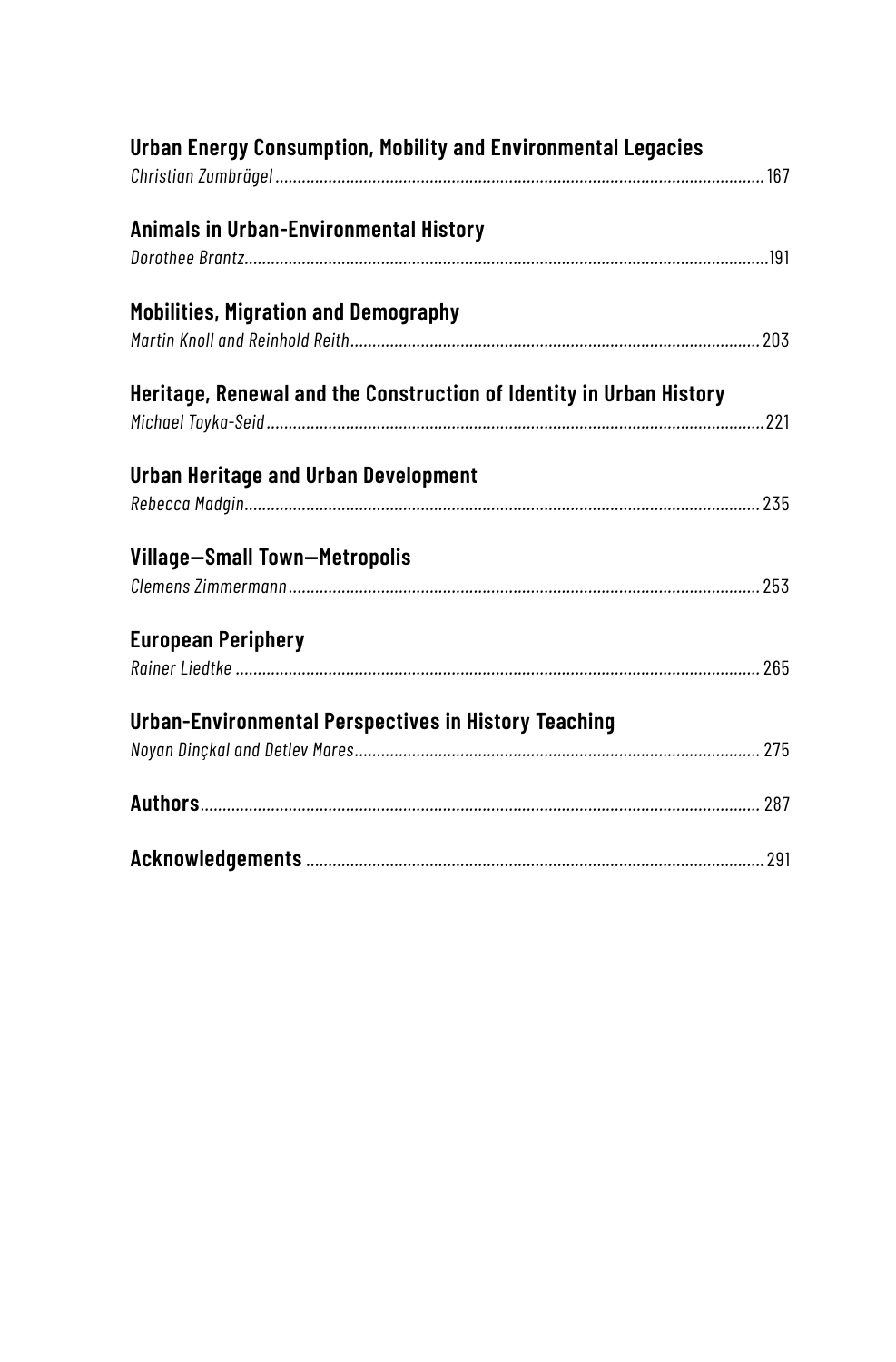| Urban Energy Consumption, Mobility and Environmental Legacies       |  |
|---------------------------------------------------------------------|--|
| Animals in Urban-Environmental History                              |  |
| <b>Mobilities, Migration and Demography</b>                         |  |
| Heritage, Renewal and the Construction of Identity in Urban History |  |
| Urban Heritage and Urban Development                                |  |
| <b>Village-Small Town-Metropolis</b>                                |  |
| <b>European Periphery</b>                                           |  |
| Urban-Environmental Perspectives in History Teaching                |  |
|                                                                     |  |
|                                                                     |  |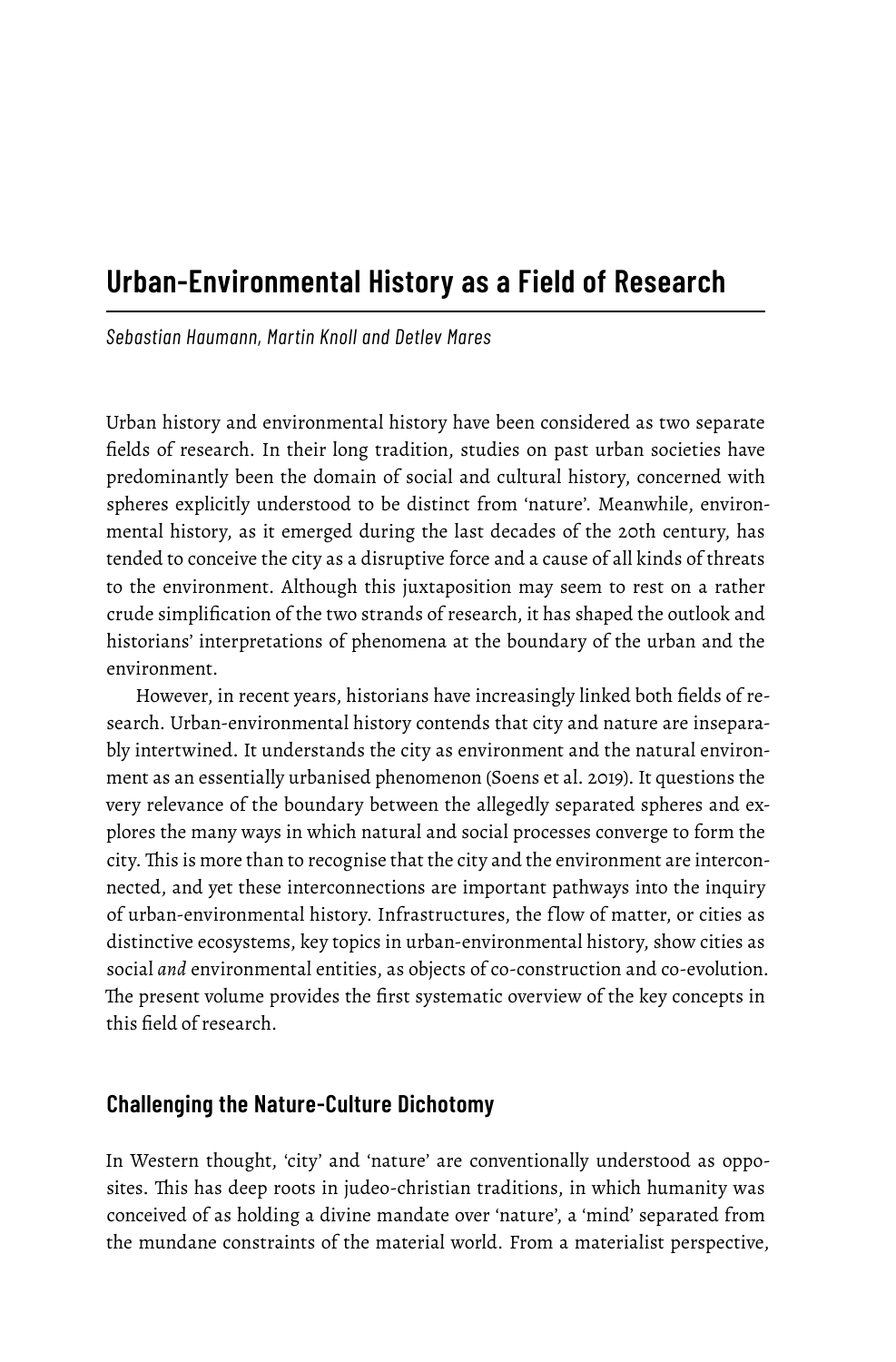## **Urban-Environmental History as a Field of Research**

*Sebastian Haumann, Martin Knoll and Detlev Mares*

Urban history and environmental history have been considered as two separate fields of research. In their long tradition, studies on past urban societies have predominantly been the domain of social and cultural history, concerned with spheres explicitly understood to be distinct from 'nature'. Meanwhile, environmental history, as it emerged during the last decades of the 20th century, has tended to conceive the city as a disruptive force and a cause of all kinds of threats to the environment. Although this juxtaposition may seem to rest on a rather crude simplification of the two strands of research, it has shaped the outlook and historians' interpretations of phenomena at the boundary of the urban and the environment.

However, in recent years, historians have increasingly linked both fields of research. Urban-environmental history contends that city and nature are inseparably intertwined. It understands the city as environment and the natural environment as an essentially urbanised phenomenon (Soens et al. 2019). It questions the very relevance of the boundary between the allegedly separated spheres and explores the many ways in which natural and social processes converge to form the city. This is more than to recognise that the city and the environment are interconnected, and yet these interconnections are important pathways into the inquiry of urban-environmental history. Infrastructures, the f low of matter, or cities as distinctive ecosystems, key topics in urban-environmental history, show cities as social *and* environmental entities, as objects of co-construction and co-evolution. The present volume provides the first systematic overview of the key concepts in this field of research.

#### **Challenging the Nature-Culture Dichotomy**

In Western thought, 'city' and 'nature' are conventionally understood as opposites. This has deep roots in judeo-christian traditions, in which humanity was conceived of as holding a divine mandate over 'nature', a 'mind' separated from the mundane constraints of the material world. From a materialist perspective,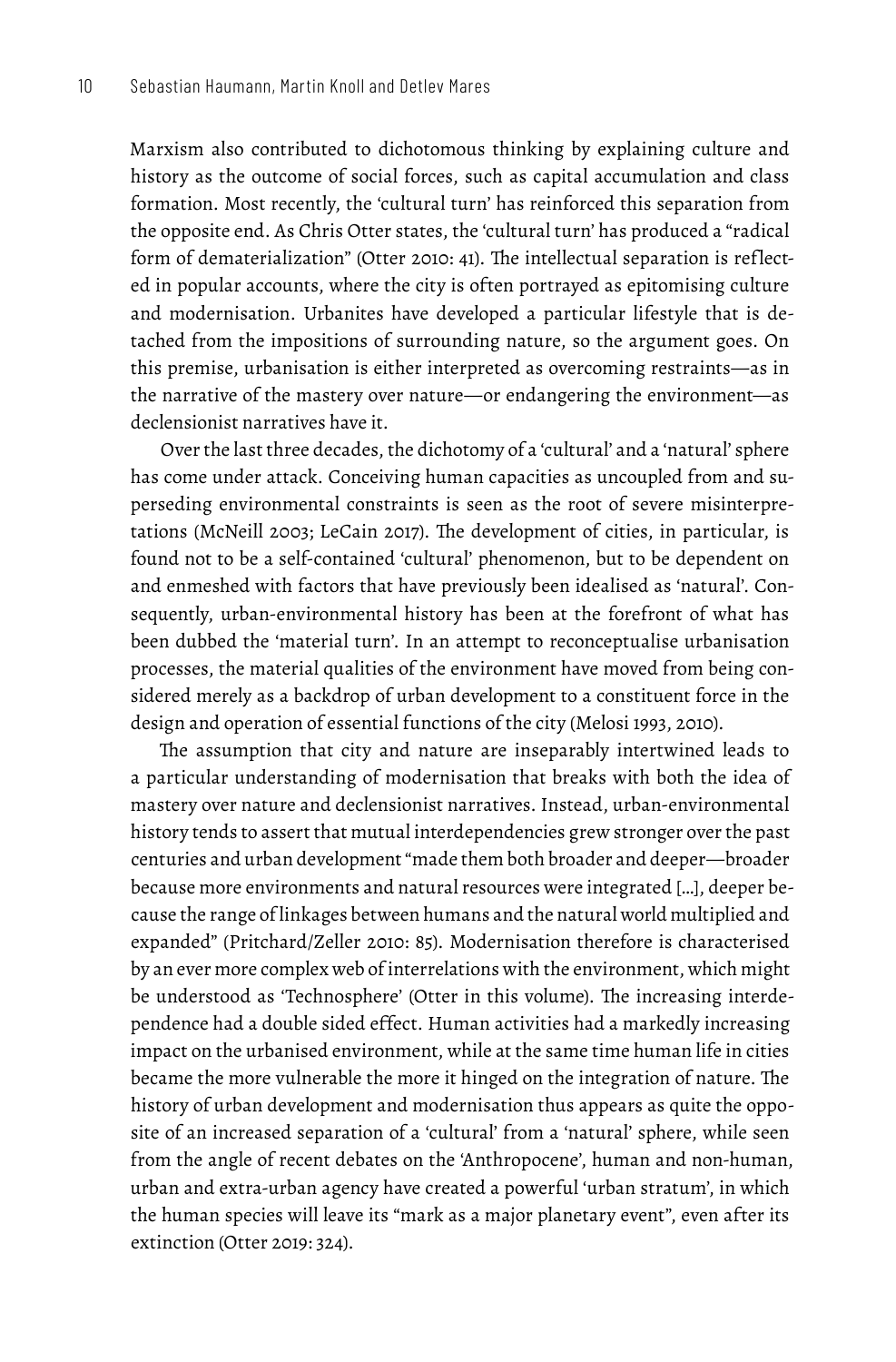Marxism also contributed to dichotomous thinking by explaining culture and history as the outcome of social forces, such as capital accumulation and class formation. Most recently, the 'cultural turn' has reinforced this separation from the opposite end. As Chris Otter states, the 'cultural turn' has produced a "radical form of dematerialization" (Otter 2010: 41). The intellectual separation is reflected in popular accounts, where the city is often portrayed as epitomising culture and modernisation. Urbanites have developed a particular lifestyle that is detached from the impositions of surrounding nature, so the argument goes. On this premise, urbanisation is either interpreted as overcoming restraints—as in the narrative of the mastery over nature—or endangering the environment—as declensionist narratives have it.

Over the last three decades, the dichotomy of a 'cultural' and a 'natural' sphere has come under attack. Conceiving human capacities as uncoupled from and superseding environmental constraints is seen as the root of severe misinterpretations (McNeill 2003; LeCain 2017). The development of cities, in particular, is found not to be a self-contained 'cultural' phenomenon, but to be dependent on and enmeshed with factors that have previously been idealised as 'natural'. Consequently, urban-environmental history has been at the forefront of what has been dubbed the 'material turn'. In an attempt to reconceptualise urbanisation processes, the material qualities of the environment have moved from being considered merely as a backdrop of urban development to a constituent force in the design and operation of essential functions of the city (Melosi 1993, 2010).

The assumption that city and nature are inseparably intertwined leads to a particular understanding of modernisation that breaks with both the idea of mastery over nature and declensionist narratives. Instead, urban-environmental history tends to assert that mutual interdependencies grew stronger over the past centuries and urban development "made them both broader and deeper—broader because more environments and natural resources were integrated […], deeper because the range of linkages between humans and the natural world multiplied and expanded" (Pritchard/Zeller 2010: 85). Modernisation therefore is characterised by an ever more complex web of interrelations with the environment, which might be understood as 'Technosphere' (Otter in this volume). The increasing interdependence had a double sided effect. Human activities had a markedly increasing impact on the urbanised environment, while at the same time human life in cities became the more vulnerable the more it hinged on the integration of nature. The history of urban development and modernisation thus appears as quite the opposite of an increased separation of a 'cultural' from a 'natural' sphere, while seen from the angle of recent debates on the 'Anthropocene', human and non-human, urban and extra-urban agency have created a powerful 'urban stratum', in which the human species will leave its "mark as a major planetary event", even after its extinction (Otter 2019: 324).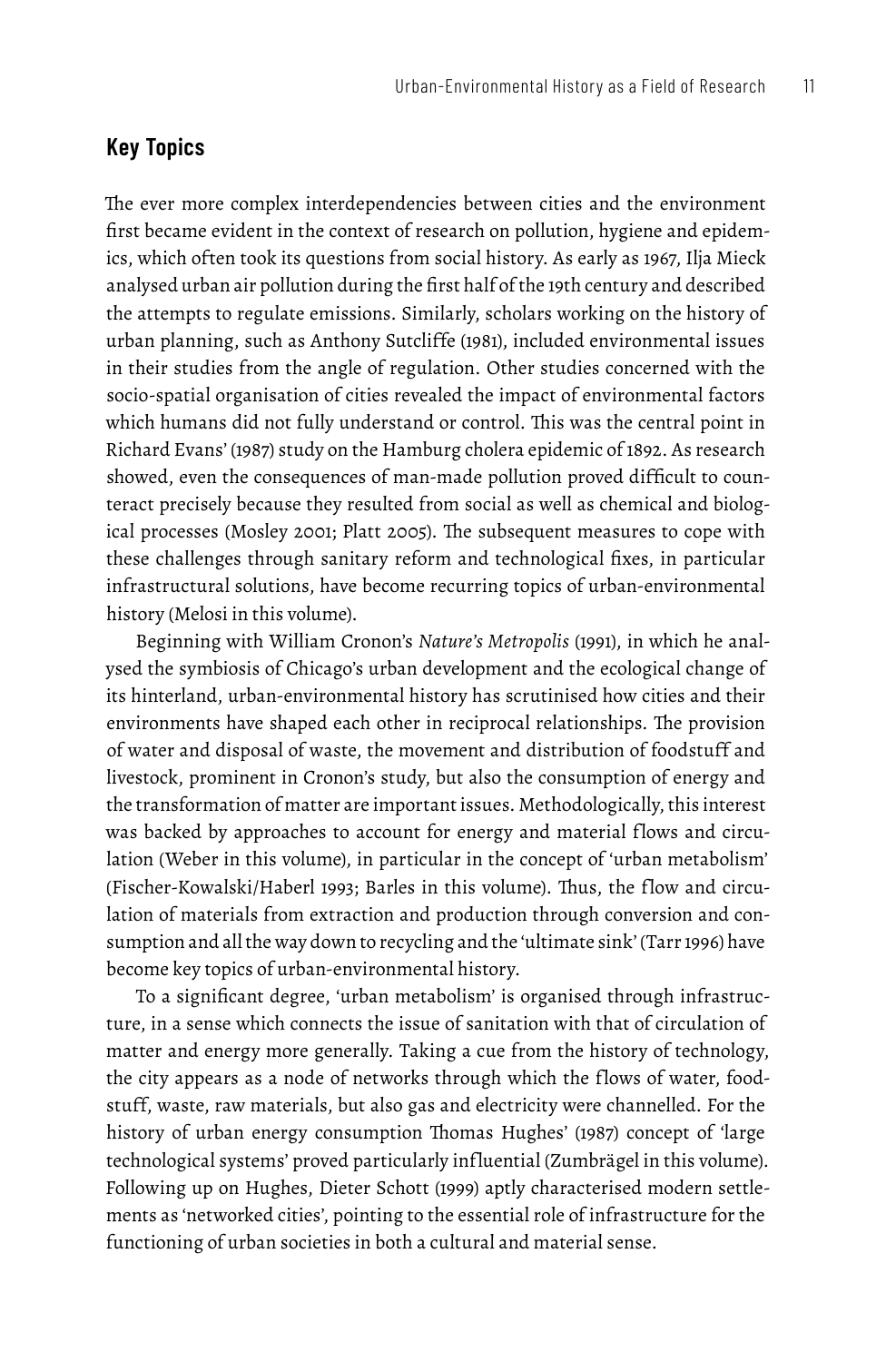#### **Key Topics**

The ever more complex interdependencies between cities and the environment first became evident in the context of research on pollution, hygiene and epidemics, which often took its questions from social history. As early as 1967, Ilja Mieck analysed urban air pollution during the first half of the 19th century and described the attempts to regulate emissions. Similarly, scholars working on the history of urban planning, such as Anthony Sutcliffe (1981), included environmental issues in their studies from the angle of regulation. Other studies concerned with the socio-spatial organisation of cities revealed the impact of environmental factors which humans did not fully understand or control. This was the central point in Richard Evans' (1987) study on the Hamburg cholera epidemic of 1892. As research showed, even the consequences of man-made pollution proved difficult to counteract precisely because they resulted from social as well as chemical and biological processes (Mosley 2001; Platt 2005). The subsequent measures to cope with these challenges through sanitary reform and technological fixes, in particular infrastructural solutions, have become recurring topics of urban-environmental history (Melosi in this volume).

Beginning with William Cronon's *Nature's Metropolis* (1991), in which he analysed the symbiosis of Chicago's urban development and the ecological change of its hinterland, urban-environmental history has scrutinised how cities and their environments have shaped each other in reciprocal relationships. The provision of water and disposal of waste, the movement and distribution of foodstuff and livestock, prominent in Cronon's study, but also the consumption of energy and the transformation of matter are important issues. Methodologically, this interest was backed by approaches to account for energy and material flows and circulation (Weber in this volume), in particular in the concept of 'urban metabolism' (Fischer-Kowalski/Haberl 1993; Barles in this volume). Thus, the flow and circulation of materials from extraction and production through conversion and consumption and all the way down to recycling and the 'ultimate sink' (Tarr 1996) have become key topics of urban-environmental history.

To a significant degree, 'urban metabolism' is organised through infrastructure, in a sense which connects the issue of sanitation with that of circulation of matter and energy more generally. Taking a cue from the history of technology, the city appears as a node of networks through which the flows of water, foodstuff, waste, raw materials, but also gas and electricity were channelled. For the history of urban energy consumption Thomas Hughes' (1987) concept of 'large technological systems' proved particularly inf luential (Zumbrägel in this volume). Following up on Hughes, Dieter Schott (1999) aptly characterised modern settlements as 'networked cities', pointing to the essential role of infrastructure for the functioning of urban societies in both a cultural and material sense.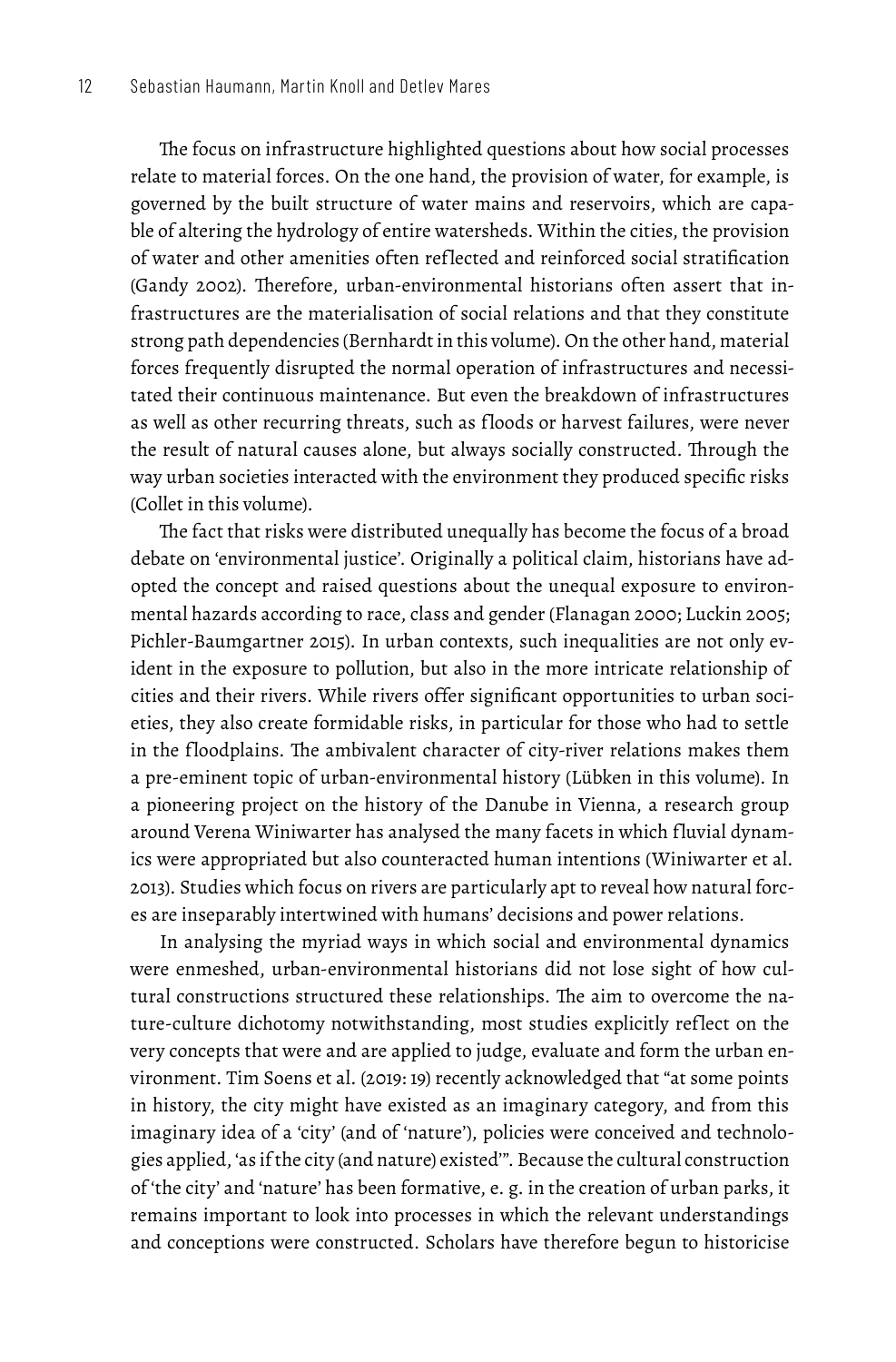The focus on infrastructure highlighted questions about how social processes relate to material forces. On the one hand, the provision of water, for example, is governed by the built structure of water mains and reservoirs, which are capable of altering the hydrology of entire watersheds. Within the cities, the provision of water and other amenities often ref lected and reinforced social stratification (Gandy 2002). Therefore, urban-environmental historians often assert that infrastructures are the materialisation of social relations and that they constitute strong path dependencies (Bernhardt in this volume). On the other hand, material forces frequently disrupted the normal operation of infrastructures and necessitated their continuous maintenance. But even the breakdown of infrastructures as well as other recurring threats, such as f loods or harvest failures, were never the result of natural causes alone, but always socially constructed. Through the way urban societies interacted with the environment they produced specific risks (Collet in this volume).

The fact that risks were distributed unequally has become the focus of a broad debate on 'environmental justice'. Originally a political claim, historians have adopted the concept and raised questions about the unequal exposure to environmental hazards according to race, class and gender (Flanagan 2000; Luckin 2005; Pichler-Baumgartner 2015). In urban contexts, such inequalities are not only evident in the exposure to pollution, but also in the more intricate relationship of cities and their rivers. While rivers offer significant opportunities to urban societies, they also create formidable risks, in particular for those who had to settle in the floodplains. The ambivalent character of city-river relations makes them a pre-eminent topic of urban-environmental history (Lübken in this volume). In a pioneering project on the history of the Danube in Vienna, a research group around Verena Winiwarter has analysed the many facets in which fluvial dynamics were appropriated but also counteracted human intentions (Winiwarter et al. 2013). Studies which focus on rivers are particularly apt to reveal how natural forces are inseparably intertwined with humans' decisions and power relations.

In analysing the myriad ways in which social and environmental dynamics were enmeshed, urban-environmental historians did not lose sight of how cultural constructions structured these relationships. The aim to overcome the nature-culture dichotomy notwithstanding, most studies explicitly reflect on the very concepts that were and are applied to judge, evaluate and form the urban environment. Tim Soens et al. (2019: 19) recently acknowledged that "at some points in history, the city might have existed as an imaginary category, and from this imaginary idea of a 'city' (and of 'nature'), policies were conceived and technologies applied, 'as if the city (and nature) existed'". Because the cultural construction of 'the city' and 'nature' has been formative, e. g. in the creation of urban parks, it remains important to look into processes in which the relevant understandings and conceptions were constructed. Scholars have therefore begun to historicise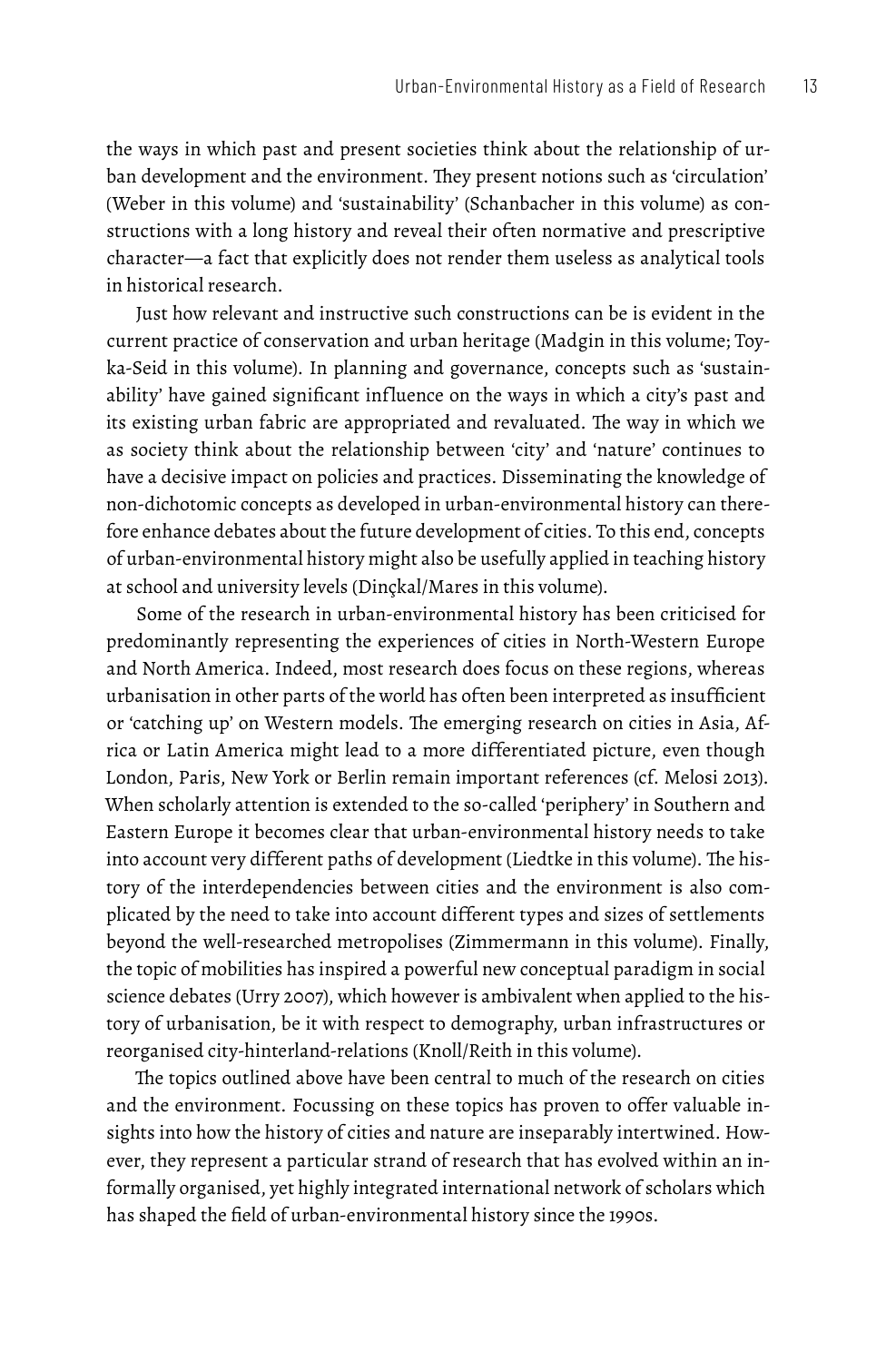the ways in which past and present societies think about the relationship of urban development and the environment. They present notions such as 'circulation' (Weber in this volume) and 'sustainability' (Schanbacher in this volume) as constructions with a long history and reveal their often normative and prescriptive character—a fact that explicitly does not render them useless as analytical tools in historical research.

Just how relevant and instructive such constructions can be is evident in the current practice of conservation and urban heritage (Madgin in this volume; Toyka-Seid in this volume). In planning and governance, concepts such as 'sustainability' have gained significant influence on the ways in which a city's past and its existing urban fabric are appropriated and revaluated. The way in which we as society think about the relationship between 'city' and 'nature' continues to have a decisive impact on policies and practices. Disseminating the knowledge of non-dichotomic concepts as developed in urban-environmental history can therefore enhance debates about the future development of cities. To this end, concepts of urban-environmental history might also be usefully applied in teaching history at school and university levels (Dinçkal/Mares in this volume).

Some of the research in urban-environmental history has been criticised for predominantly representing the experiences of cities in North-Western Europe and North America. Indeed, most research does focus on these regions, whereas urbanisation in other parts of the world has often been interpreted as insufficient or 'catching up' on Western models. The emerging research on cities in Asia, Africa or Latin America might lead to a more differentiated picture, even though London, Paris, New York or Berlin remain important references (cf. Melosi 2013). When scholarly attention is extended to the so-called 'periphery' in Southern and Eastern Europe it becomes clear that urban-environmental history needs to take into account very different paths of development (Liedtke in this volume). The history of the interdependencies between cities and the environment is also complicated by the need to take into account different types and sizes of settlements beyond the well-researched metropolises (Zimmermann in this volume). Finally, the topic of mobilities has inspired a powerful new conceptual paradigm in social science debates (Urry 2007), which however is ambivalent when applied to the history of urbanisation, be it with respect to demography, urban infrastructures or reorganised city-hinterland-relations (Knoll/Reith in this volume).

The topics outlined above have been central to much of the research on cities and the environment. Focussing on these topics has proven to offer valuable insights into how the history of cities and nature are inseparably intertwined. However, they represent a particular strand of research that has evolved within an informally organised, yet highly integrated international network of scholars which has shaped the field of urban-environmental history since the 1990s.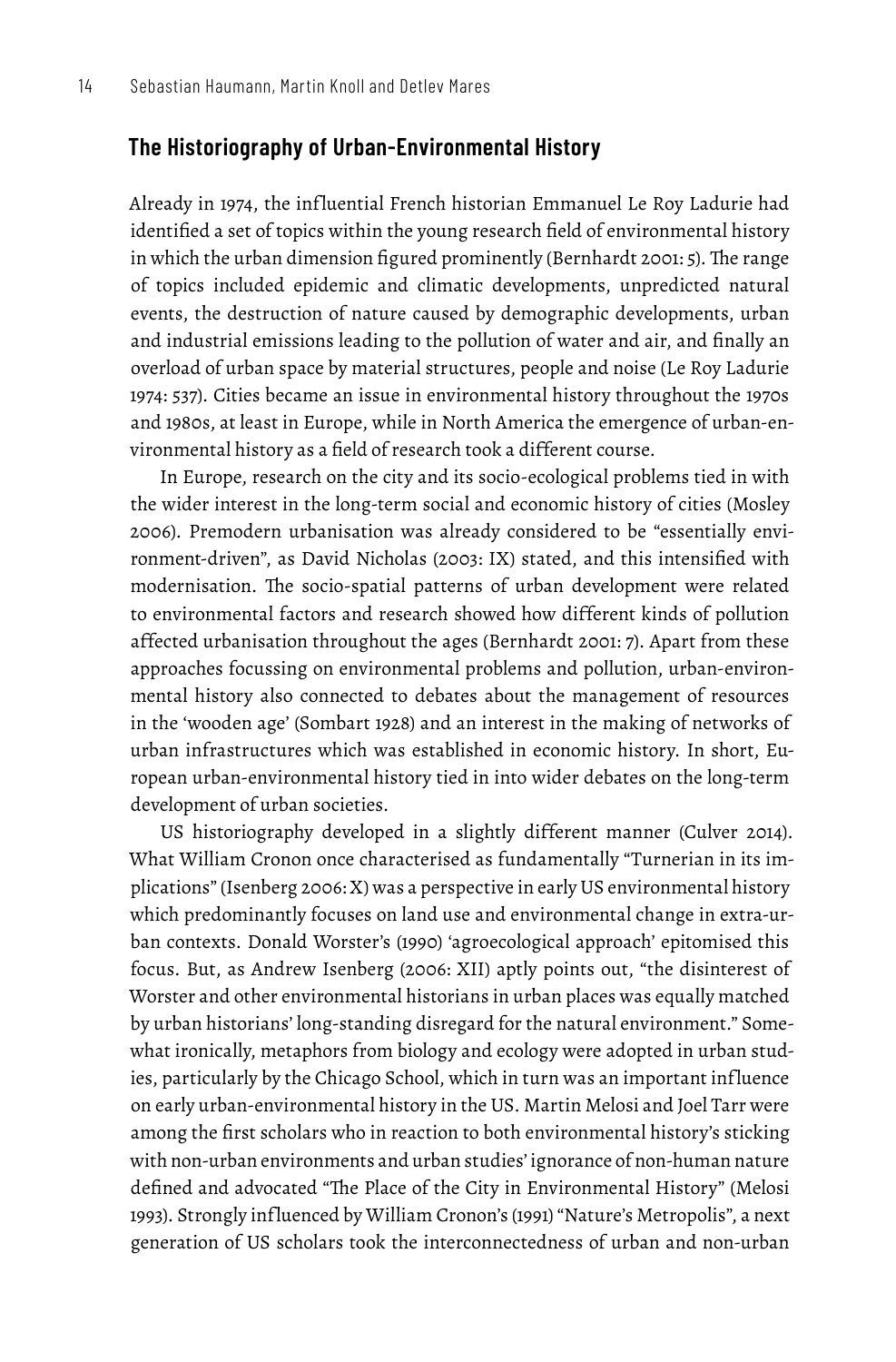#### **The Historiography of Urban-Environmental History**

Already in 1974, the influential French historian Emmanuel Le Roy Ladurie had identified a set of topics within the young research field of environmental history in which the urban dimension figured prominently (Bernhardt 2001: 5). The range of topics included epidemic and climatic developments, unpredicted natural events, the destruction of nature caused by demographic developments, urban and industrial emissions leading to the pollution of water and air, and finally an overload of urban space by material structures, people and noise (Le Roy Ladurie 1974: 537). Cities became an issue in environmental history throughout the 1970s and 1980s, at least in Europe, while in North America the emergence of urban-environmental history as a field of research took a different course.

In Europe, research on the city and its socio-ecological problems tied in with the wider interest in the long-term social and economic history of cities (Mosley 2006). Premodern urbanisation was already considered to be "essentially environment-driven", as David Nicholas (2003: IX) stated, and this intensified with modernisation. The socio-spatial patterns of urban development were related to environmental factors and research showed how different kinds of pollution affected urbanisation throughout the ages (Bernhardt 2001: 7). Apart from these approaches focussing on environmental problems and pollution, urban-environmental history also connected to debates about the management of resources in the 'wooden age' (Sombart 1928) and an interest in the making of networks of urban infrastructures which was established in economic history. In short, European urban-environmental history tied in into wider debates on the long-term development of urban societies.

US historiography developed in a slightly different manner (Culver 2014). What William Cronon once characterised as fundamentally "Turnerian in its implications" (Isenberg 2006: X) was a perspective in early US environmental history which predominantly focuses on land use and environmental change in extra-urban contexts. Donald Worster's (1990) 'agroecological approach' epitomised this focus. But, as Andrew Isenberg (2006: XII) aptly points out, "the disinterest of Worster and other environmental historians in urban places was equally matched by urban historians' long-standing disregard for the natural environment." Somewhat ironically, metaphors from biology and ecology were adopted in urban studies, particularly by the Chicago School, which in turn was an important influence on early urban-environmental history in the US. Martin Melosi and Joel Tarr were among the first scholars who in reaction to both environmental history's sticking with non-urban environments and urban studies' ignorance of non-human nature defined and advocated "The Place of the City in Environmental History" (Melosi 1993). Strongly inf luenced by William Cronon's (1991) "Nature's Metropolis", a next generation of US scholars took the interconnectedness of urban and non-urban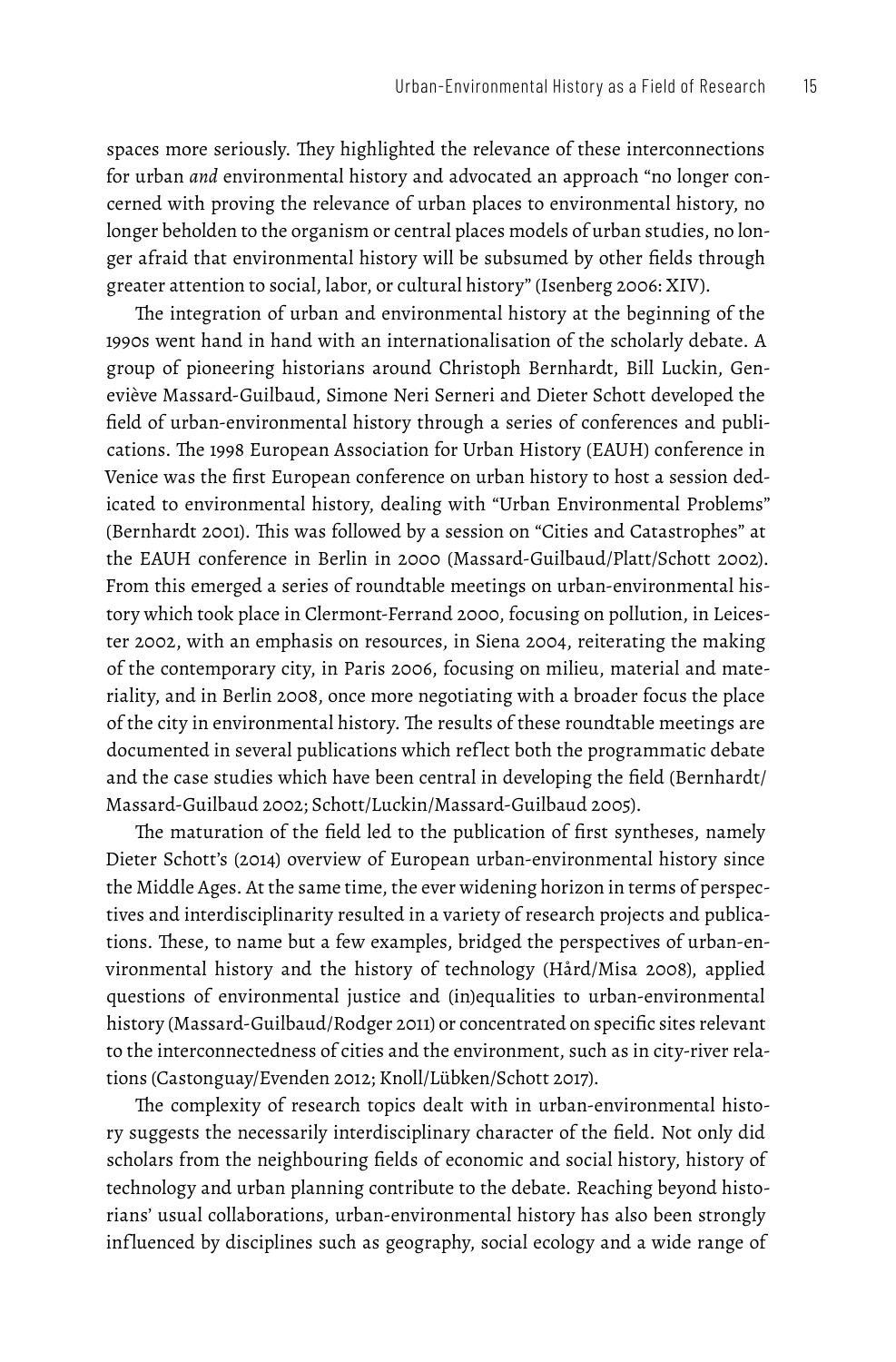spaces more seriously. They highlighted the relevance of these interconnections for urban *and* environmental history and advocated an approach "no longer concerned with proving the relevance of urban places to environmental history, no longer beholden to the organism or central places models of urban studies, no longer afraid that environmental history will be subsumed by other fields through greater attention to social, labor, or cultural history" (Isenberg 2006: XIV).

The integration of urban and environmental history at the beginning of the 1990s went hand in hand with an internationalisation of the scholarly debate. A group of pioneering historians around Christoph Bernhardt, Bill Luckin, Geneviève Massard-Guilbaud, Simone Neri Serneri and Dieter Schott developed the field of urban-environmental history through a series of conferences and publications. The 1998 European Association for Urban History (EAUH) conference in Venice was the first European conference on urban history to host a session dedicated to environmental history, dealing with "Urban Environmental Problems" (Bernhardt 2001). This was followed by a session on "Cities and Catastrophes" at the EAUH conference in Berlin in 2000 (Massard-Guilbaud/Platt/Schott 2002). From this emerged a series of roundtable meetings on urban-environmental history which took place in Clermont-Ferrand 2000, focusing on pollution, in Leicester 2002, with an emphasis on resources, in Siena 2004, reiterating the making of the contemporary city, in Paris 2006, focusing on milieu, material and materiality, and in Berlin 2008, once more negotiating with a broader focus the place of the city in environmental history. The results of these roundtable meetings are documented in several publications which ref lect both the programmatic debate and the case studies which have been central in developing the field (Bernhardt/ Massard-Guilbaud 2002; Schott/Luckin/Massard-Guilbaud 2005).

The maturation of the field led to the publication of first syntheses, namely Dieter Schott's (2014) overview of European urban-environmental history since the Middle Ages. At the same time, the ever widening horizon in terms of perspectives and interdisciplinarity resulted in a variety of research projects and publications. These, to name but a few examples, bridged the perspectives of urban-environmental history and the history of technology (Hård/Misa 2008), applied questions of environmental justice and (in)equalities to urban-environmental history (Massard-Guilbaud/Rodger 2011) or concentrated on specific sites relevant to the interconnectedness of cities and the environment, such as in city-river relations (Castonguay/Evenden 2012; Knoll/Lübken/Schott 2017).

The complexity of research topics dealt with in urban-environmental history suggests the necessarily interdisciplinary character of the field. Not only did scholars from the neighbouring fields of economic and social history, history of technology and urban planning contribute to the debate. Reaching beyond historians' usual collaborations, urban-environmental history has also been strongly influenced by disciplines such as geography, social ecology and a wide range of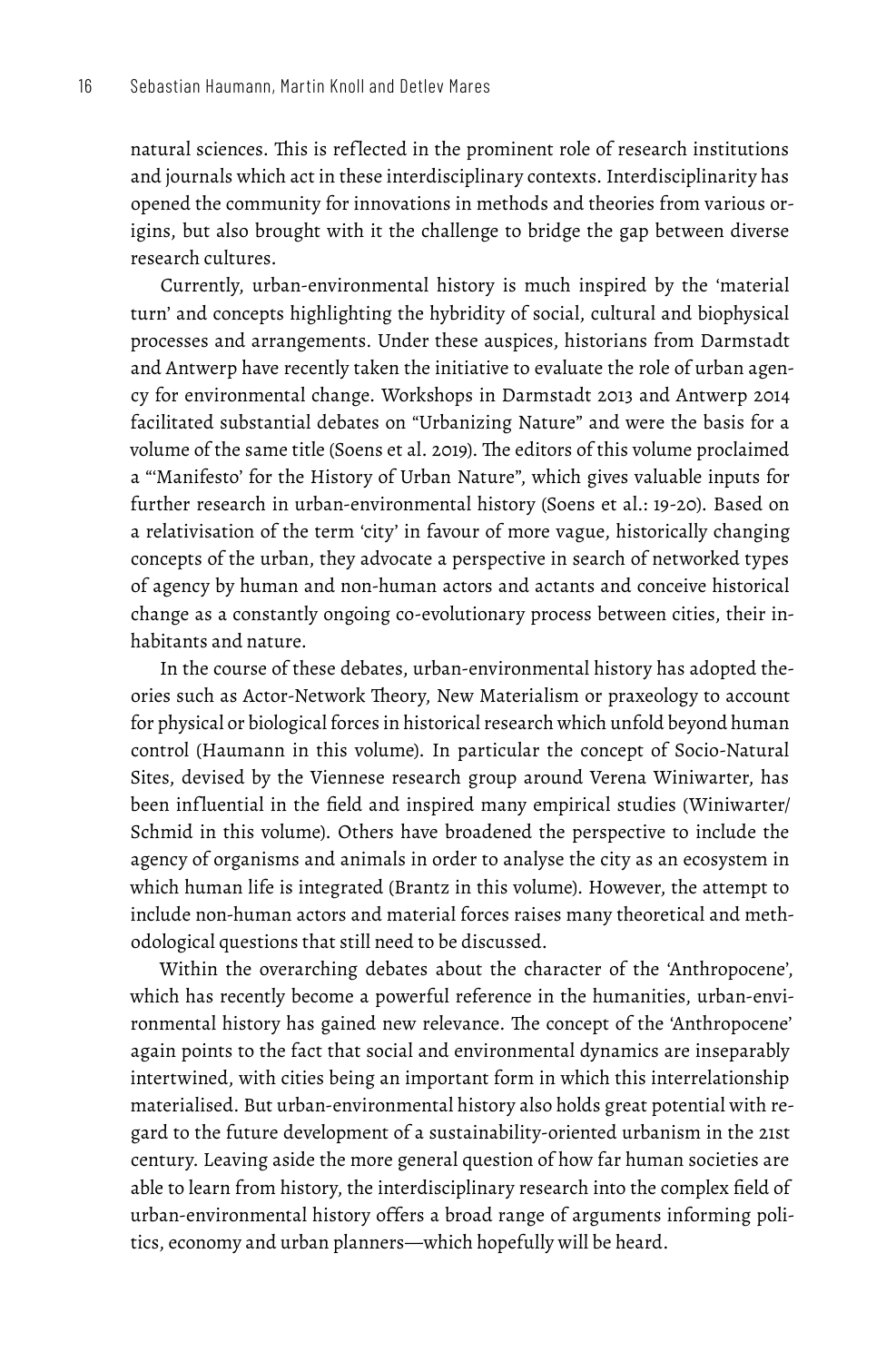natural sciences. This is reflected in the prominent role of research institutions and journals which act in these interdisciplinary contexts. Interdisciplinarity has opened the community for innovations in methods and theories from various origins, but also brought with it the challenge to bridge the gap between diverse research cultures.

Currently, urban-environmental history is much inspired by the 'material turn' and concepts highlighting the hybridity of social, cultural and biophysical processes and arrangements. Under these auspices, historians from Darmstadt and Antwerp have recently taken the initiative to evaluate the role of urban agency for environmental change. Workshops in Darmstadt 2013 and Antwerp 2014 facilitated substantial debates on "Urbanizing Nature" and were the basis for a volume of the same title (Soens et al. 2019). The editors of this volume proclaimed a "'Manifesto' for the History of Urban Nature", which gives valuable inputs for further research in urban-environmental history (Soens et al.: 19-20). Based on a relativisation of the term 'city' in favour of more vague, historically changing concepts of the urban, they advocate a perspective in search of networked types of agency by human and non-human actors and actants and conceive historical change as a constantly ongoing co-evolutionary process between cities, their inhabitants and nature.

In the course of these debates, urban-environmental history has adopted theories such as Actor-Network Theory, New Materialism or praxeology to account for physical or biological forces in historical research which unfold beyond human control (Haumann in this volume). In particular the concept of Socio-Natural Sites, devised by the Viennese research group around Verena Winiwarter, has been influential in the field and inspired many empirical studies (Winiwarter/ Schmid in this volume). Others have broadened the perspective to include the agency of organisms and animals in order to analyse the city as an ecosystem in which human life is integrated (Brantz in this volume). However, the attempt to include non-human actors and material forces raises many theoretical and methodological questions that still need to be discussed.

Within the overarching debates about the character of the 'Anthropocene', which has recently become a powerful reference in the humanities, urban-environmental history has gained new relevance. The concept of the 'Anthropocene' again points to the fact that social and environmental dynamics are inseparably intertwined, with cities being an important form in which this interrelationship materialised. But urban-environmental history also holds great potential with regard to the future development of a sustainability-oriented urbanism in the 21st century. Leaving aside the more general question of how far human societies are able to learn from history, the interdisciplinary research into the complex field of urban-environmental history offers a broad range of arguments informing politics, economy and urban planners—which hopefully will be heard.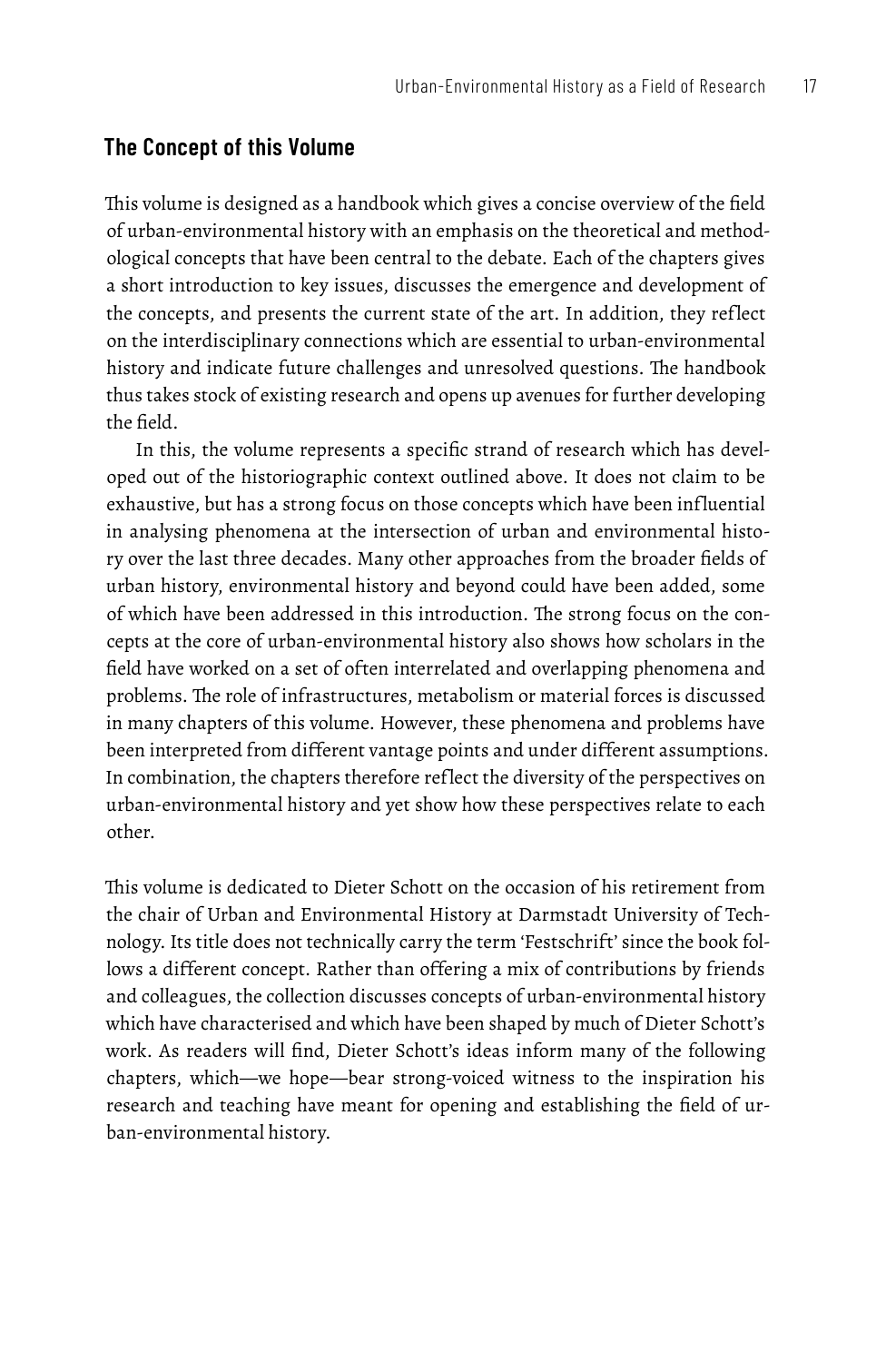#### **The Concept of this Volume**

This volume is designed as a handbook which gives a concise overview of the field of urban-environmental history with an emphasis on the theoretical and methodological concepts that have been central to the debate. Each of the chapters gives a short introduction to key issues, discusses the emergence and development of the concepts, and presents the current state of the art. In addition, they reflect on the interdisciplinary connections which are essential to urban-environmental history and indicate future challenges and unresolved questions. The handbook thus takes stock of existing research and opens up avenues for further developing the field.

In this, the volume represents a specific strand of research which has developed out of the historiographic context outlined above. It does not claim to be exhaustive, but has a strong focus on those concepts which have been influential in analysing phenomena at the intersection of urban and environmental history over the last three decades. Many other approaches from the broader fields of urban history, environmental history and beyond could have been added, some of which have been addressed in this introduction. The strong focus on the concepts at the core of urban-environmental history also shows how scholars in the field have worked on a set of often interrelated and overlapping phenomena and problems. The role of infrastructures, metabolism or material forces is discussed in many chapters of this volume. However, these phenomena and problems have been interpreted from different vantage points and under different assumptions. In combination, the chapters therefore ref lect the diversity of the perspectives on urban-environmental history and yet show how these perspectives relate to each other.

This volume is dedicated to Dieter Schott on the occasion of his retirement from the chair of Urban and Environmental History at Darmstadt University of Technology. Its title does not technically carry the term 'Festschrift' since the book follows a different concept. Rather than offering a mix of contributions by friends and colleagues, the collection discusses concepts of urban-environmental history which have characterised and which have been shaped by much of Dieter Schott's work. As readers will find, Dieter Schott's ideas inform many of the following chapters, which—we hope—bear strong-voiced witness to the inspiration his research and teaching have meant for opening and establishing the field of urban-environmental history.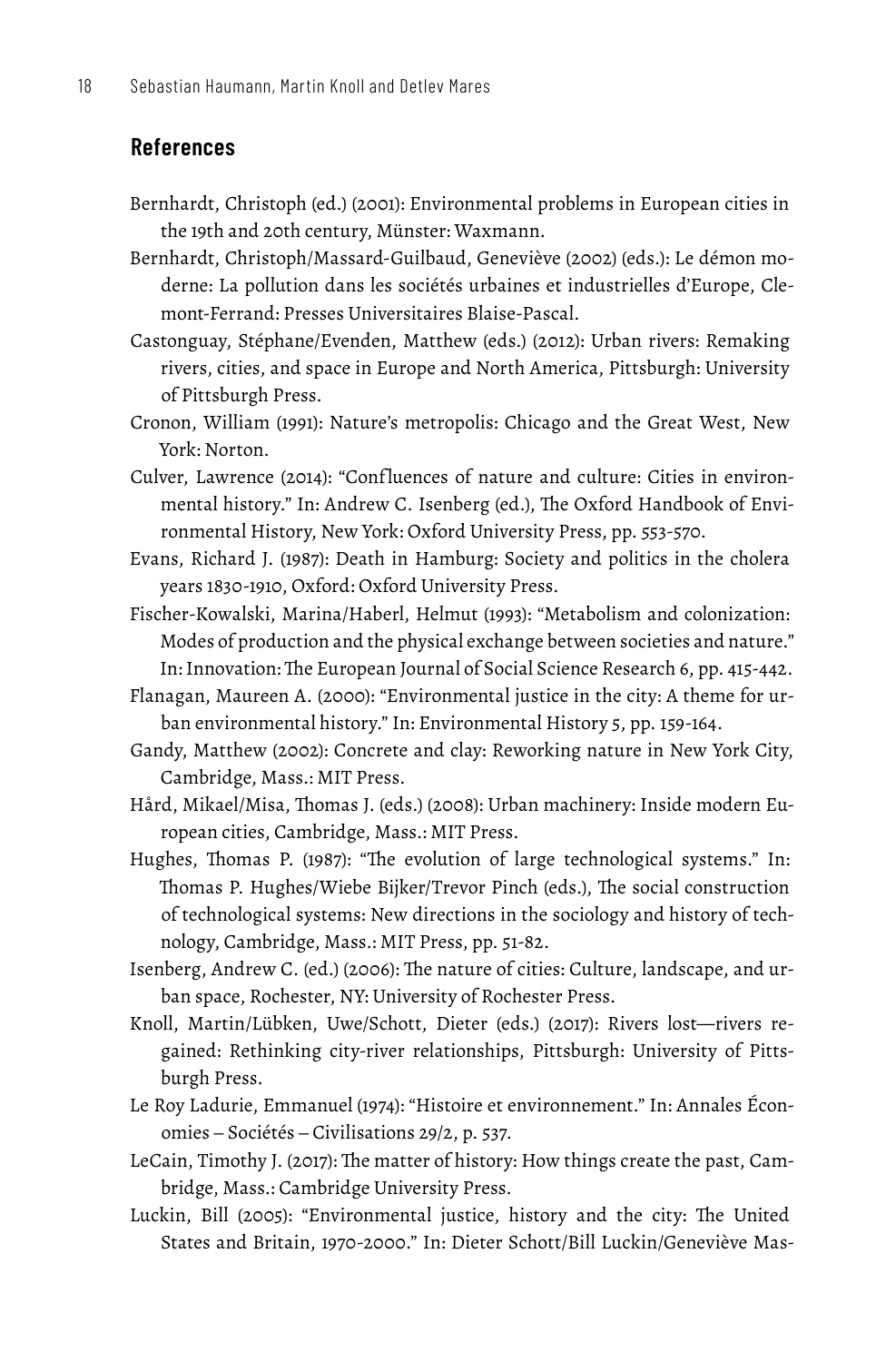#### **References**

- Bernhardt, Christoph (ed.) (2001): Environmental problems in European cities in the 19th and 20th century, Münster: Waxmann.
- Bernhardt, Christoph/Massard-Guilbaud, Geneviève (2002) (eds.): Le démon moderne: La pollution dans les sociétés urbaines et industrielles d'Europe, Clemont-Ferrand: Presses Universitaires Blaise-Pascal.
- Castonguay, Stéphane/Evenden, Matthew (eds.) (2012): Urban rivers: Remaking rivers, cities, and space in Europe and North America, Pittsburgh: University of Pittsburgh Press.
- Cronon, William (1991): Nature's metropolis: Chicago and the Great West, New York: Norton.
- Culver, Lawrence (2014): "Confluences of nature and culture: Cities in environmental history." In: Andrew C. Isenberg (ed.), The Oxford Handbook of Environmental History, New York: Oxford University Press, pp. 553-570.
- Evans, Richard J. (1987): Death in Hamburg: Society and politics in the cholera years 1830-1910, Oxford: Oxford University Press.
- Fischer‐Kowalski, Marina/Haberl, Helmut (1993): "Metabolism and colonization: Modes of production and the physical exchange between societies and nature." In: Innovation: The European Journal of Social Science Research 6, pp. 415-442.
- Flanagan, Maureen A. (2000): "Environmental justice in the city: A theme for urban environmental history." In: Environmental History 5, pp. 159-164.
- Gandy, Matthew (2002): Concrete and clay: Reworking nature in New York City, Cambridge, Mass.: MIT Press.
- Hård, Mikael/Misa, Thomas J. (eds.) (2008): Urban machinery: Inside modern European cities, Cambridge, Mass.: MIT Press.
- Hughes, Thomas P. (1987): "The evolution of large technological systems." In: Thomas P. Hughes/Wiebe Bijker/Trevor Pinch (eds.), The social construction of technological systems: New directions in the sociology and history of technology, Cambridge, Mass.: MIT Press, pp. 51-82.
- Isenberg, Andrew C. (ed.) (2006): The nature of cities: Culture, landscape, and urban space, Rochester, NY: University of Rochester Press.
- Knoll, Martin/Lübken, Uwe/Schott, Dieter (eds.) (2017): Rivers lost—rivers regained: Rethinking city-river relationships, Pittsburgh: University of Pittsburgh Press.
- Le Roy Ladurie, Emmanuel (1974): "Histoire et environnement." In: Annales Économies – Sociétés – Civilisations 29/2, p. 537.
- LeCain, Timothy J. (2017): The matter of history: How things create the past, Cambridge, Mass.: Cambridge University Press.
- Luckin, Bill (2005): "Environmental justice, history and the city: The United States and Britain, 1970-2000." In: Dieter Schott/Bill Luckin/Geneviève Mas-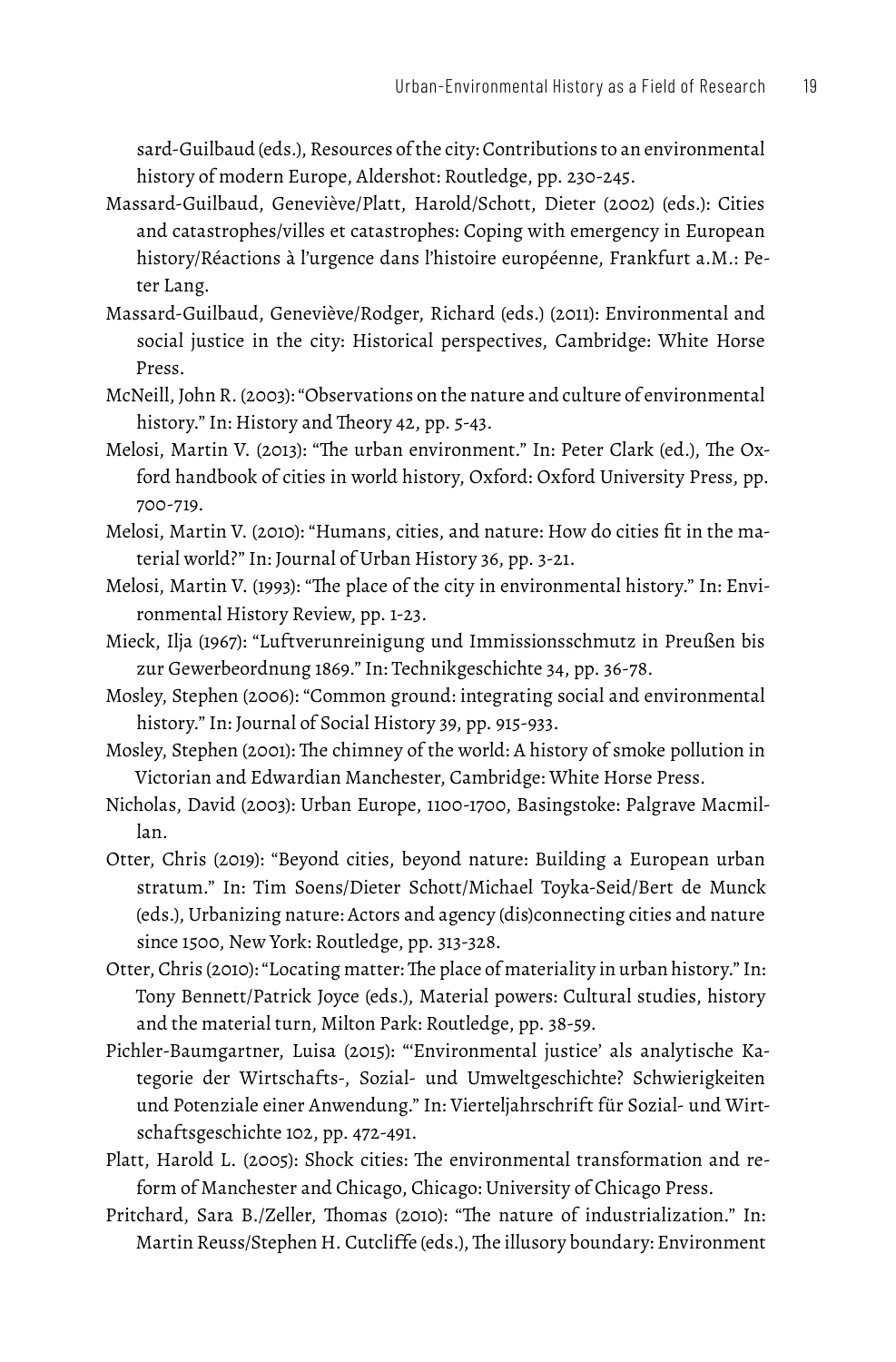sard-Guilbaud (eds.), Resources of the city: Contributions to an environmental history of modern Europe, Aldershot: Routledge, pp. 230-245.

- Massard-Guilbaud, Geneviève/Platt, Harold/Schott, Dieter (2002) (eds.): Cities and catastrophes/villes et catastrophes: Coping with emergency in European history/Réactions à l'urgence dans l'histoire européenne, Frankfurt a.M.: Peter Lang.
- Massard-Guilbaud, Geneviève/Rodger, Richard (eds.) (2011): Environmental and social justice in the city: Historical perspectives, Cambridge: White Horse Press.
- McNeill, John R. (2003): "Observations on the nature and culture of environmental history." In: History and Theory 42, pp. 5-43.
- Melosi, Martin V. (2013): "The urban environment." In: Peter Clark (ed.), The Oxford handbook of cities in world history, Oxford: Oxford University Press, pp. 700-719.
- Melosi, Martin V. (2010): "Humans, cities, and nature: How do cities fit in the material world?" In: Journal of Urban History 36, pp. 3-21.
- Melosi, Martin V. (1993): "The place of the city in environmental history." In: Environmental History Review, pp. 1-23.
- Mieck, Ilja (1967): "Luftverunreinigung und Immissionsschmutz in Preußen bis zur Gewerbeordnung 1869." In: Technikgeschichte 34, pp. 36-78.
- Mosley, Stephen (2006): "Common ground: integrating social and environmental history." In: Journal of Social History 39, pp. 915-933.
- Mosley, Stephen (2001): The chimney of the world: A history of smoke pollution in Victorian and Edwardian Manchester, Cambridge: White Horse Press.
- Nicholas, David (2003): Urban Europe, 1100-1700, Basingstoke: Palgrave Macmillan.
- Otter, Chris (2019): "Beyond cities, beyond nature: Building a European urban stratum." In: Tim Soens/Dieter Schott/Michael Toyka-Seid/Bert de Munck (eds.), Urbanizing nature: Actors and agency (dis)connecting cities and nature since 1500, New York: Routledge, pp. 313-328.
- Otter, Chris (2010): "Locating matter: The place of materiality in urban history." In: Tony Bennett/Patrick Joyce (eds.), Material powers: Cultural studies, history and the material turn, Milton Park: Routledge, pp. 38-59.
- Pichler-Baumgartner, Luisa (2015): "'Environmental justice' als analytische Kategorie der Wirtschafts-, Sozial- und Umweltgeschichte? Schwierigkeiten und Potenziale einer Anwendung." In: Vierteljahrschrift für Sozial- und Wirtschaftsgeschichte 102, pp. 472-491.
- Platt, Harold L. (2005): Shock cities: The environmental transformation and reform of Manchester and Chicago, Chicago: University of Chicago Press.
- Pritchard, Sara B./Zeller, Thomas (2010): "The nature of industrialization." In: Martin Reuss/Stephen H. Cutcliffe (eds.), The illusory boundary: Environment